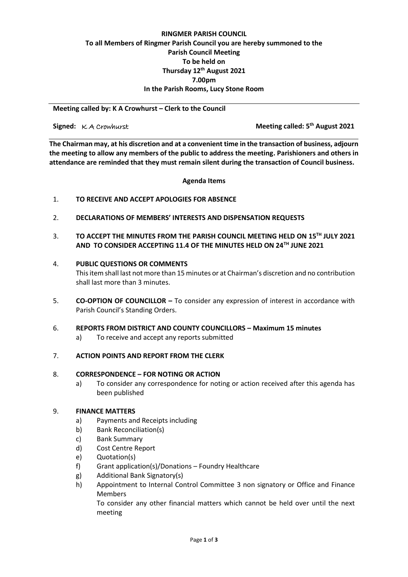# **RINGMER PARISH COUNCIL To all Members of Ringmer Parish Council you are hereby summoned to the Parish Council Meeting To be held on Thursday 12 th August 2021 7.00pm In the Parish Rooms, Lucy Stone Room**

**Meeting called by: K A Crowhurst – Clerk to the Council** 

**Signed:**  $K$  A Crowhurst

**th August 2021**

**The Chairman may, at his discretion and at a convenient time in the transaction of business, adjourn the meeting to allow any members of the public to address the meeting. Parishioners and others in attendance are reminded that they must remain silent during the transaction of Council business.**

**Agenda Items**

# 1. **TO RECEIVE AND ACCEPT APOLOGIES FOR ABSENCE**

- 2. **DECLARATIONS OF MEMBERS' INTERESTS AND DISPENSATION REQUESTS**
- 3. **TO ACCEPT THE MINUTES FROM THE PARISH COUNCIL MEETING HELD ON 15TH JULY 2021 AND TO CONSIDER ACCEPTING 11.4 OF THE MINUTES HELD ON 24TH JUNE 2021**

### 4. **PUBLIC QUESTIONS OR COMMENTS**

This item shall last not more than 15 minutes or at Chairman's discretion and no contribution shall last more than 3 minutes.

5. **CO-OPTION OF COUNCILLOR –** To consider any expression of interest in accordance with Parish Council's Standing Orders.

### 6. **REPORTS FROM DISTRICT AND COUNTY COUNCILLORS – Maximum 15 minutes**

a) To receive and accept any reports submitted

## 7. **ACTION POINTS AND REPORT FROM THE CLERK**

# 8. **CORRESPONDENCE – FOR NOTING OR ACTION**

a) To consider any correspondence for noting or action received after this agenda has been published

# 9. **FINANCE MATTERS**

- a) Payments and Receipts including
- b) Bank Reconciliation(s)
- c) Bank Summary
- d) Cost Centre Report
- e) Quotation(s)
- f) Grant application(s)/Donations – Foundry Healthcare
- g) Additional Bank Signatory(s)
- h) Appointment to Internal Control Committee 3 non signatory or Office and Finance Members

To consider any other financial matters which cannot be held over until the next meeting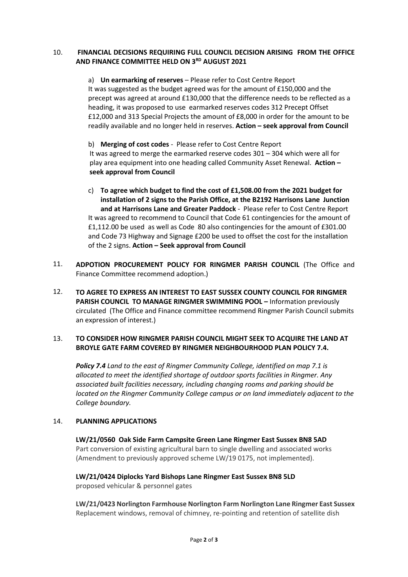#### 10. **FINANCIAL DECISIONS REQUIRING FULL COUNCIL DECISION ARISING FROM THE OFFICE AND FINANCE COMMITTEE HELD ON 3RD AUGUST 2021**

a) **Un earmarking of reserves** – Please refer to Cost Centre Report It was suggested as the budget agreed was for the amount of £150,000 and the precept was agreed at around £130,000 that the difference needs to be reflected as a heading, it was proposed to use earmarked reserves codes 312 Precept Offset £12,000 and 313 Special Projects the amount of £8,000 in order for the amount to be readily available and no longer held in reserves. **Action – seek approval from Council**

b) **Merging of cost codes** - Please refer to Cost Centre Report It was agreed to merge the earmarked reserve codes 301 – 304 which were all for play area equipment into one heading called Community Asset Renewal. **Action – seek approval from Council**

- c) **To agree which budget to find the cost of £1,508.00 from the 2021 budget for installation of 2 signs to the Parish Office, at the B2192 Harrisons Lane Junction and at Harrisons Lane and Greater Paddock** - Please refer to Cost Centre Report It was agreed to recommend to Council that Code 61 contingencies for the amount of £1,112.00 be used as well as Code 80 also contingencies for the amount of £301.00 and Code 73 Highway and Signage £200 be used to offset the cost for the installation of the 2 signs. **Action – Seek approval from Council**
- 11. **ADPOTION PROCUREMENT POLICY FOR RINGMER PARISH COUNCIL** (The Office and Finance Committee recommend adoption.)
- 12. **TO AGREE TO EXPRESS AN INTEREST TO EAST SUSSEX COUNTY COUNCIL FOR RINGMER PARISH COUNCIL TO MANAGE RINGMER SWIMMING POOL –** Information previously circulated (The Office and Finance committee recommend Ringmer Parish Council submits an expression of interest.)

### 13. **TO CONSIDER HOW RINGMER PARISH COUNCIL MIGHT SEEK TO ACQUIRE THE LAND AT BROYLE GATE FARM COVERED BY RINGMER NEIGHBOURHOOD PLAN POLICY 7.4.**

*Policy 7.4 Land to the east of Ringmer Community College, identified on map 7.1 is allocated to meet the identified shortage of outdoor sports facilities in Ringmer. Any associated built facilities necessary, including changing rooms and parking should be located on the Ringmer Community College campus or on land immediately adjacent to the College boundary.*

#### 14. **PLANNING APPLICATIONS**

**LW/21/0560 Oak Side Farm Campsite Green Lane Ringmer East Sussex BN8 5AD** Part conversion of existing agricultural barn to single dwelling and associated works (Amendment to previously approved scheme LW/19 0175, not implemented).

**LW/21/0424 Diplocks Yard Bishops Lane Ringmer East Sussex BN8 5LD** proposed vehicular & personnel gates

**LW/21/0423 Norlington Farmhouse Norlington Farm Norlington Lane Ringmer East Sussex**  Replacement windows, removal of chimney, re-pointing and retention of satellite dish